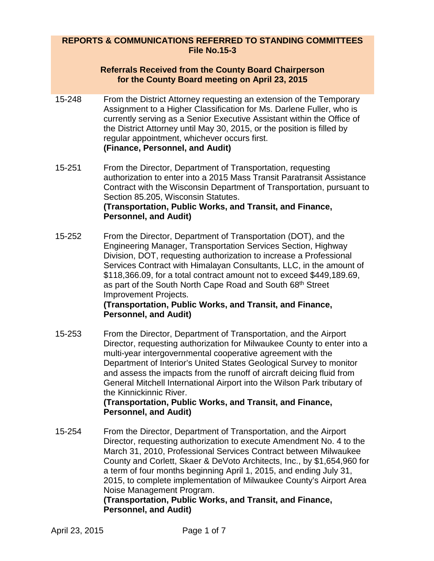## **REPORTS & COMMUNICATIONS REFERRED TO STANDING COMMITTEES File No.15-3**

#### **Referrals Received from the County Board Chairperson for the County Board meeting on April 23, 2015**

- 15-248 From the District Attorney requesting an extension of the Temporary Assignment to a Higher Classification for Ms. Darlene Fuller, who is currently serving as a Senior Executive Assistant within the Office of the District Attorney until May 30, 2015, or the position is filled by regular appointment, whichever occurs first. **(Finance, Personnel, and Audit)**
- 15-251 From the Director, Department of Transportation, requesting authorization to enter into a 2015 Mass Transit Paratransit Assistance Contract with the Wisconsin Department of Transportation, pursuant to Section 85.205, Wisconsin Statutes. **(Transportation, Public Works, and Transit, and Finance, Personnel, and Audit)**
- 15-252 From the Director, Department of Transportation (DOT), and the Engineering Manager, Transportation Services Section, Highway Division, DOT, requesting authorization to increase a Professional Services Contract with Himalayan Consultants, LLC, in the amount of \$118,366.09, for a total contract amount not to exceed \$449,189.69, as part of the South North Cape Road and South 68<sup>th</sup> Street Improvement Projects.

#### **(Transportation, Public Works, and Transit, and Finance, Personnel, and Audit)**

15-253 From the Director, Department of Transportation, and the Airport Director, requesting authorization for Milwaukee County to enter into a multi-year intergovernmental cooperative agreement with the Department of Interior's United States Geological Survey to monitor and assess the impacts from the runoff of aircraft deicing fluid from General Mitchell International Airport into the Wilson Park tributary of the Kinnickinnic River.

# **(Transportation, Public Works, and Transit, and Finance, Personnel, and Audit)**

15-254 From the Director, Department of Transportation, and the Airport Director, requesting authorization to execute Amendment No. 4 to the March 31, 2010, Professional Services Contract between Milwaukee County and Corlett, Skaer & DeVoto Architects, Inc., by \$1,654,960 for a term of four months beginning April 1, 2015, and ending July 31, 2015, to complete implementation of Milwaukee County's Airport Area Noise Management Program.

# **(Transportation, Public Works, and Transit, and Finance, Personnel, and Audit)**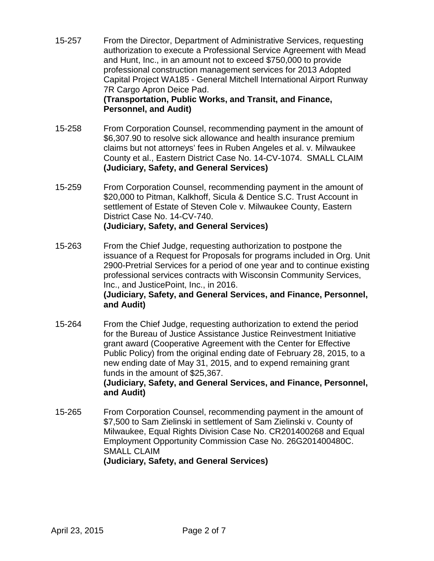- 15-257 From the Director, Department of Administrative Services, requesting authorization to execute a Professional Service Agreement with Mead and Hunt, Inc., in an amount not to exceed \$750,000 to provide professional construction management services for 2013 Adopted Capital Project WA185 - General Mitchell International Airport Runway 7R Cargo Apron Deice Pad. **(Transportation, Public Works, and Transit, and Finance, Personnel, and Audit)**
- 15-258 From Corporation Counsel, recommending payment in the amount of \$6,307.90 to resolve sick allowance and health insurance premium claims but not attorneys' fees in Ruben Angeles et al. v. Milwaukee County et al., Eastern District Case No. 14-CV-1074. SMALL CLAIM **(Judiciary, Safety, and General Services)**
- 15-259 From Corporation Counsel, recommending payment in the amount of \$20,000 to Pitman, Kalkhoff, Sicula & Dentice S.C. Trust Account in settlement of Estate of Steven Cole v. Milwaukee County, Eastern District Case No. 14-CV-740. **(Judiciary, Safety, and General Services)**
- 15-263 From the Chief Judge, requesting authorization to postpone the issuance of a Request for Proposals for programs included in Org. Unit 2900-Pretrial Services for a period of one year and to continue existing professional services contracts with Wisconsin Community Services, Inc., and JusticePoint, Inc., in 2016. **(Judiciary, Safety, and General Services, and Finance, Personnel, and Audit)**
- 15-264 From the Chief Judge, requesting authorization to extend the period for the Bureau of Justice Assistance Justice Reinvestment Initiative grant award (Cooperative Agreement with the Center for Effective Public Policy) from the original ending date of February 28, 2015, to a new ending date of May 31, 2015, and to expend remaining grant funds in the amount of \$25,367. **(Judiciary, Safety, and General Services, and Finance, Personnel, and Audit)**
- 15-265 From Corporation Counsel, recommending payment in the amount of \$7,500 to Sam Zielinski in settlement of Sam Zielinski v. County of Milwaukee, Equal Rights Division Case No. CR201400268 and Equal Employment Opportunity Commission Case No. 26G201400480C. SMALL CLAIM **(Judiciary, Safety, and General Services)**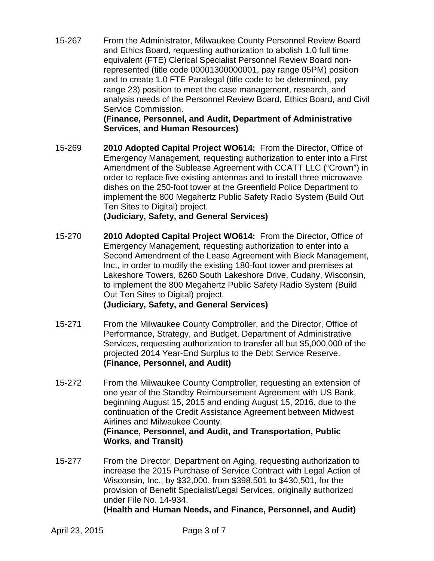15-267 From the Administrator, Milwaukee County Personnel Review Board and Ethics Board, requesting authorization to abolish 1.0 full time equivalent (FTE) Clerical Specialist Personnel Review Board nonrepresented (title code 00001300000001, pay range 05PM) position and to create 1.0 FTE Paralegal (title code to be determined, pay range 23) position to meet the case management, research, and analysis needs of the Personnel Review Board, Ethics Board, and Civil Service Commission.

> **(Finance, Personnel, and Audit, Department of Administrative Services, and Human Resources)**

15-269 **2010 Adopted Capital Project WO614:** From the Director, Office of Emergency Management, requesting authorization to enter into a First Amendment of the Sublease Agreement with CCATT LLC ("Crown") in order to replace five existing antennas and to install three microwave dishes on the 250-foot tower at the Greenfield Police Department to implement the 800 Megahertz Public Safety Radio System (Build Out Ten Sites to Digital) project.

# **(Judiciary, Safety, and General Services)**

- 15-270 **2010 Adopted Capital Project WO614:** From the Director, Office of Emergency Management, requesting authorization to enter into a Second Amendment of the Lease Agreement with Bieck Management, Inc., in order to modify the existing 180-foot tower and premises at Lakeshore Towers, 6260 South Lakeshore Drive, Cudahy, Wisconsin, to implement the 800 Megahertz Public Safety Radio System (Build Out Ten Sites to Digital) project. **(Judiciary, Safety, and General Services)**
- 15-271 From the Milwaukee County Comptroller, and the Director, Office of Performance, Strategy, and Budget, Department of Administrative Services, requesting authorization to transfer all but \$5,000,000 of the projected 2014 Year-End Surplus to the Debt Service Reserve. **(Finance, Personnel, and Audit)**
- 15-272 From the Milwaukee County Comptroller, requesting an extension of one year of the Standby Reimbursement Agreement with US Bank, beginning August 15, 2015 and ending August 15, 2016, due to the continuation of the Credit Assistance Agreement between Midwest Airlines and Milwaukee County. **(Finance, Personnel, and Audit, and Transportation, Public Works, and Transit)**
- 15-277 From the Director, Department on Aging, requesting authorization to increase the 2015 Purchase of Service Contract with Legal Action of Wisconsin, Inc., by \$32,000, from \$398,501 to \$430,501, for the provision of Benefit Specialist/Legal Services, originally authorized under File No. 14-934. **(Health and Human Needs, and Finance, Personnel, and Audit)**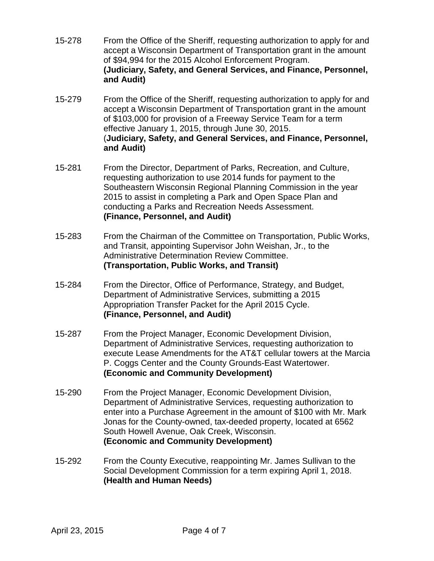- 15-278 From the Office of the Sheriff, requesting authorization to apply for and accept a Wisconsin Department of Transportation grant in the amount of \$94,994 for the 2015 Alcohol Enforcement Program. **(Judiciary, Safety, and General Services, and Finance, Personnel, and Audit)**
- 15-279 From the Office of the Sheriff, requesting authorization to apply for and accept a Wisconsin Department of Transportation grant in the amount of \$103,000 for provision of a Freeway Service Team for a term effective January 1, 2015, through June 30, 2015. (**Judiciary, Safety, and General Services, and Finance, Personnel, and Audit)**
- 15-281 From the Director, Department of Parks, Recreation, and Culture, requesting authorization to use 2014 funds for payment to the Southeastern Wisconsin Regional Planning Commission in the year 2015 to assist in completing a Park and Open Space Plan and conducting a Parks and Recreation Needs Assessment. **(Finance, Personnel, and Audit)**
- 15-283 From the Chairman of the Committee on Transportation, Public Works, and Transit, appointing Supervisor John Weishan, Jr., to the Administrative Determination Review Committee. **(Transportation, Public Works, and Transit)**
- 15-284 From the Director, Office of Performance, Strategy, and Budget, Department of Administrative Services, submitting a 2015 Appropriation Transfer Packet for the April 2015 Cycle. **(Finance, Personnel, and Audit)**
- 15-287 From the Project Manager, Economic Development Division, Department of Administrative Services, requesting authorization to execute Lease Amendments for the AT&T cellular towers at the Marcia P. Coggs Center and the County Grounds-East Watertower. **(Economic and Community Development)**
- 15-290 From the Project Manager, Economic Development Division, Department of Administrative Services, requesting authorization to enter into a Purchase Agreement in the amount of \$100 with Mr. Mark Jonas for the County-owned, tax-deeded property, located at 6562 South Howell Avenue, Oak Creek, Wisconsin. **(Economic and Community Development)**
- 15-292 From the County Executive, reappointing Mr. James Sullivan to the Social Development Commission for a term expiring April 1, 2018. **(Health and Human Needs)**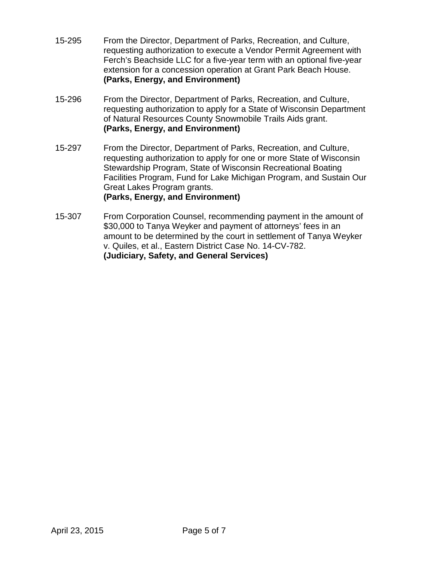- 15-295 From the Director, Department of Parks, Recreation, and Culture, requesting authorization to execute a Vendor Permit Agreement with Ferch's Beachside LLC for a five-year term with an optional five-year extension for a concession operation at Grant Park Beach House. **(Parks, Energy, and Environment)**
- 15-296 From the Director, Department of Parks, Recreation, and Culture, requesting authorization to apply for a State of Wisconsin Department of Natural Resources County Snowmobile Trails Aids grant. **(Parks, Energy, and Environment)**
- 15-297 From the Director, Department of Parks, Recreation, and Culture, requesting authorization to apply for one or more State of Wisconsin Stewardship Program, State of Wisconsin Recreational Boating Facilities Program, Fund for Lake Michigan Program, and Sustain Our Great Lakes Program grants. **(Parks, Energy, and Environment)**
- 15-307 From Corporation Counsel, recommending payment in the amount of \$30,000 to Tanya Weyker and payment of attorneys' fees in an amount to be determined by the court in settlement of Tanya Weyker v. Quiles, et al., Eastern District Case No. 14-CV-782. **(Judiciary, Safety, and General Services)**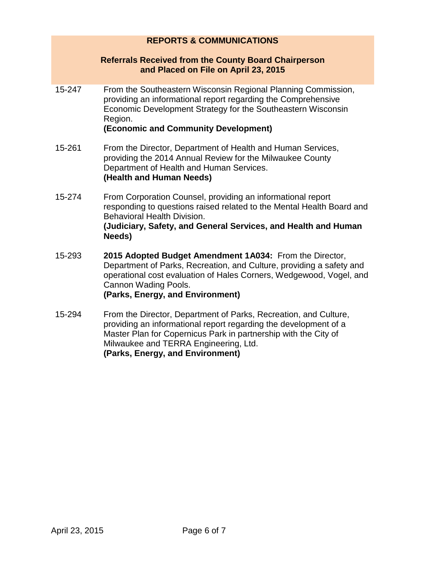# **REPORTS & COMMUNICATIONS**

#### **Referrals Received from the County Board Chairperson and Placed on File on April 23, 2015**

15-247 From the Southeastern Wisconsin Regional Planning Commission, providing an informational report regarding the Comprehensive Economic Development Strategy for the Southeastern Wisconsin Region.

#### **(Economic and Community Development)**

- 15-261 From the Director, Department of Health and Human Services, providing the 2014 Annual Review for the Milwaukee County Department of Health and Human Services. **(Health and Human Needs)**
- 15-274 From Corporation Counsel, providing an informational report responding to questions raised related to the Mental Health Board and Behavioral Health Division. **(Judiciary, Safety, and General Services, and Health and Human Needs)**
- 15-293 **2015 Adopted Budget Amendment 1A034:** From the Director, Department of Parks, Recreation, and Culture, providing a safety and operational cost evaluation of Hales Corners, Wedgewood, Vogel, and Cannon Wading Pools. **(Parks, Energy, and Environment)**
- 15-294 From the Director, Department of Parks, Recreation, and Culture, providing an informational report regarding the development of a Master Plan for Copernicus Park in partnership with the City of Milwaukee and TERRA Engineering, Ltd. **(Parks, Energy, and Environment)**